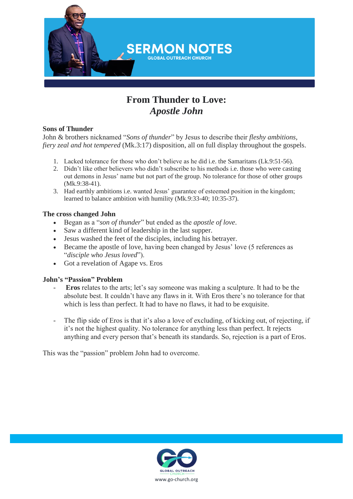

# **From Thunder to Love:**  *Apostle John*

#### **Sons of Thunder**

John & brothers nicknamed "*Sons of thunder*" by Jesus to describe their *fleshy ambitions, fiery zeal and hot tempered* (Mk.3:17) disposition, all on full display throughout the gospels.

- 1. Lacked tolerance for those who don't believe as he did i.e. the Samaritans (Lk.9:51-56).
- 2. Didn't like other believers who didn't subscribe to his methods i.e. those who were casting out demons in Jesus' name but not part of the group. No tolerance for those of other groups (Mk.9:38-41).
- 3. Had earthly ambitions i.e. wanted Jesus' guarantee of esteemed position in the kingdom; learned to balance ambition with humility (Mk.9:33-40; 10:35-37).

## **The cross changed John**

- Began as a "*son of thunder*" but ended as the *apostle of love*.
- Saw a different kind of leadership in the last supper.
- Jesus washed the feet of the disciples, including his betrayer.
- Became the apostle of love, having been changed by Jesus' love (5 references as "*disciple who Jesus loved*").
- Got a revelation of Agape vs. Eros

#### **John's "Passion" Problem**

- **Eros** relates to the arts; let's say someone was making a sculpture. It had to be the absolute best. It couldn't have any flaws in it. With Eros there's no tolerance for that which is less than perfect. It had to have no flaws, it had to be exquisite.
- The flip side of Eros is that it's also a love of excluding, of kicking out, of rejecting, if it's not the highest quality. No tolerance for anything less than perfect. It rejects anything and every person that's beneath its standards. So, rejection is a part of Eros.

This was the "passion" problem John had to overcome.